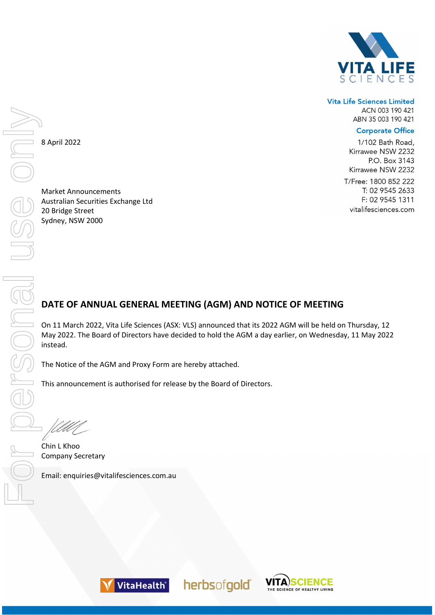

## **Vita Life Sciences Limited** ACN 003 190 421 ABN 35 003 190 421

## **Corporate Office**

1/102 Bath Road, Kirrawee NSW 2232 P.O. Box 3143 Kirrawee NSW 2232 T/Free: 1800 852 222 T: 02 9545 2633 F: 02 9545 1311 vitalifesciences.com

8 April 2022

Market Announcements Australian Securities Exchange Ltd 20 Bridge Street Sydney, NSW 2000

# **DATE OF ANNUAL GENERAL MEETING (AGM) AND NOTICE OF MEETING**

On 11 March 2022, Vita Life Sciences (ASX: VLS) announced that its 2022 AGM will be held on Thursday, 12 May 2022. The Board of Directors have decided to hold the AGM a day earlier, on Wednesday, 11 May 2022 instead.

herbsofgold®

The Notice of the AGM and Proxy Form are hereby attached.

This announcement is authorised for release by the Board of Directors.

Chin L Khoo Company Secretary



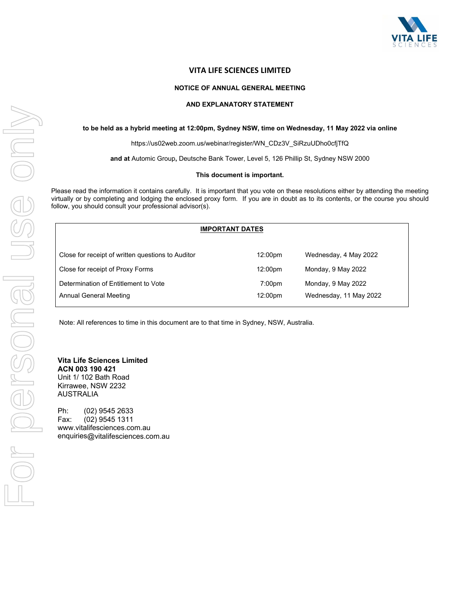

## **VITA LIFE SCIENCES LIMITED**

#### **NOTICE OF ANNUAL GENERAL MEETING**

#### **AND EXPLANATORY STATEMENT**

#### **to be held as a hybrid meeting at 12:00pm, Sydney NSW, time on Wednesday, 11 May 2022 via online**

https://us02web.zoom.us/webinar/register/WN\_CDz3V\_SiRzuUDho0cfjTfQ

**and at** Automic Group**,** Deutsche Bank Tower, Level 5, 126 Phillip St, Sydney NSW 2000

#### **This document is important.**

Please read the information it contains carefully. It is important that you vote on these resolutions either by attending the meeting virtually or by completing and lodging the enclosed proxy form. If you are in doubt as to its contents, or the course you should follow, you should consult your professional advisor(s).

|                                                                | <b>IMPORTANT DATES</b>        |                                              |
|----------------------------------------------------------------|-------------------------------|----------------------------------------------|
| Close for receipt of written questions to Auditor              | 12:00 <sub>pm</sub>           | Wednesday, 4 May 2022                        |
| Close for receipt of Proxy Forms                               | 12:00pm                       | Monday, 9 May 2022                           |
| Determination of Entitlement to Vote<br>Annual General Meeting | 7:00 <sub>pm</sub><br>12:00pm | Monday, 9 May 2022<br>Wednesday, 11 May 2022 |

Note: All references to time in this document are to that time in Sydney, NSW, Australia.

#### **Vita Life Sciences Limited ACN 003 190 421**  Unit 1/ 102 Bath Road Kirrawee, NSW 2232 AUSTRALIA

Ph: (02) 9545 2633 Fax: (02) 9545 1311 www.vitalifesciences.com.au enquiries@vitalifesciences.com.au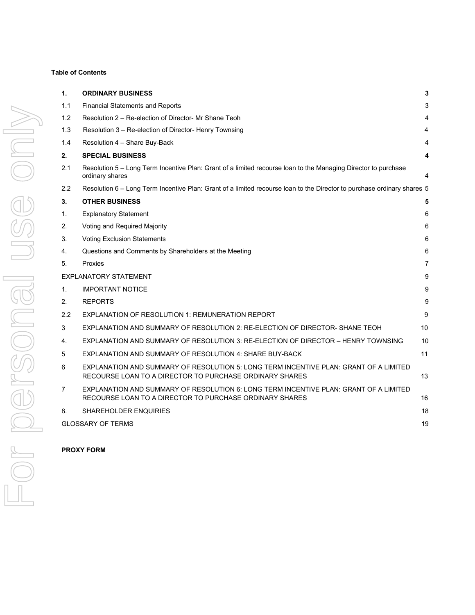#### **Table of Contents**

| 1.               | <b>ORDINARY BUSINESS</b>                                                                                                                         | 3              |
|------------------|--------------------------------------------------------------------------------------------------------------------------------------------------|----------------|
| 1.1              | <b>Financial Statements and Reports</b>                                                                                                          | 3              |
| 1.2              | Resolution 2 – Re-election of Director- Mr Shane Teoh                                                                                            | 4              |
| 1.3              | Resolution 3 - Re-election of Director- Henry Townsing                                                                                           | 4              |
| 1.4              | Resolution 4 - Share Buy-Back                                                                                                                    | 4              |
| 2.               | <b>SPECIAL BUSINESS</b>                                                                                                                          | 4              |
| 2.1              | Resolution 5 – Long Term Incentive Plan: Grant of a limited recourse loan to the Managing Director to purchase<br>ordinary shares                | 4              |
| $2.2\phantom{0}$ | Resolution 6 – Long Term Incentive Plan: Grant of a limited recourse loan to the Director to purchase ordinary shares 5                          |                |
| 3.               | <b>OTHER BUSINESS</b>                                                                                                                            | 5              |
| 1.               | <b>Explanatory Statement</b>                                                                                                                     | 6              |
| 2.               | Voting and Required Majority                                                                                                                     | 6              |
| 3.               | <b>Voting Exclusion Statements</b>                                                                                                               | 6              |
| 4.               | Questions and Comments by Shareholders at the Meeting                                                                                            | 6              |
| 5.               | Proxies                                                                                                                                          | $\overline{7}$ |
|                  | <b>EXPLANATORY STATEMENT</b>                                                                                                                     | 9              |
| 1.               | <b>IMPORTANT NOTICE</b>                                                                                                                          | $9\,$          |
| 2.               | <b>REPORTS</b>                                                                                                                                   | 9              |
| 2.2              | EXPLANATION OF RESOLUTION 1: REMUNERATION REPORT                                                                                                 | 9              |
| 3                | EXPLANATION AND SUMMARY OF RESOLUTION 2: RE-ELECTION OF DIRECTOR- SHANE TEOH                                                                     | 10             |
| 4.               | EXPLANATION AND SUMMARY OF RESOLUTION 3: RE-ELECTION OF DIRECTOR - HENRY TOWNSING                                                                | 10             |
| 5                | EXPLANATION AND SUMMARY OF RESOLUTION 4: SHARE BUY-BACK                                                                                          | 11             |
| 6                | EXPLANATION AND SUMMARY OF RESOLUTION 5: LONG TERM INCENTIVE PLAN: GRANT OF A LIMITED<br>RECOURSE LOAN TO A DIRECTOR TO PURCHASE ORDINARY SHARES | 13             |
| $\overline{7}$   | EXPLANATION AND SUMMARY OF RESOLUTION 6: LONG TERM INCENTIVE PLAN: GRANT OF A LIMITED<br>RECOURSE LOAN TO A DIRECTOR TO PURCHASE ORDINARY SHARES | 16             |
| 8.               | <b>SHAREHOLDER ENQUIRIES</b>                                                                                                                     | 18             |
|                  | <b>GLOSSARY OF TERMS</b>                                                                                                                         | 19             |
|                  |                                                                                                                                                  |                |

**PROXY FORM**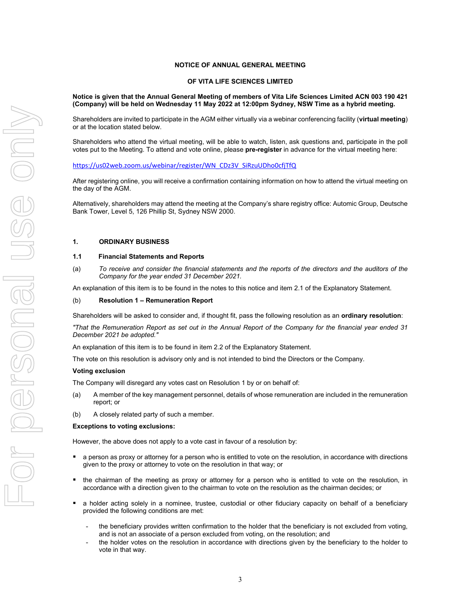#### **NOTICE OF ANNUAL GENERAL MEETING**

#### **OF VITA LIFE SCIENCES LIMITED**

**Notice is given that the Annual General Meeting of members of Vita Life Sciences Limited ACN 003 190 421 (Company) will be held on Wednesday 11 May 2022 at 12:00pm Sydney, NSW Time as a hybrid meeting.** 

Shareholders are invited to participate in the AGM either virtually via a webinar conferencing facility (**virtual meeting**) or at the location stated below.

Shareholders who attend the virtual meeting, will be able to watch, listen, ask questions and, participate in the poll votes put to the Meeting. To attend and vote online, please **pre-register** in advance for the virtual meeting here:

https://us02web.zoom.us/webinar/register/WN\_CDz3V\_SiRzuUDho0cfjTfQ

After registering online, you will receive a confirmation containing information on how to attend the virtual meeting on the day of the AGM.

Alternatively, shareholders may attend the meeting at the Company's share registry office: Automic Group, Deutsche Bank Tower, Level 5, 126 Phillip St, Sydney NSW 2000.

#### **1. ORDINARY BUSINESS**

#### **1.1 Financial Statements and Reports**

(a) *To receive and consider the financial statements and the reports of the directors and the auditors of the Company for the year ended 31 December 2021.* 

An explanation of this item is to be found in the notes to this notice and item 2.1 of the Explanatory Statement.

#### (b) **Resolution 1 – Remuneration Report**

Shareholders will be asked to consider and, if thought fit, pass the following resolution as an **ordinary resolution**:

*"That the Remuneration Report as set out in the Annual Report of the Company for the financial year ended 31 December 2021 be adopted."* 

An explanation of this item is to be found in item 2.2 of the Explanatory Statement.

The vote on this resolution is advisory only and is not intended to bind the Directors or the Company.

#### **Voting exclusion**

The Company will disregard any votes cast on Resolution 1 by or on behalf of:

- (a) A member of the key management personnel, details of whose remuneration are included in the remuneration report; or
- (b) A closely related party of such a member.

#### **Exceptions to voting exclusions:**

However, the above does not apply to a vote cast in favour of a resolution by:

- a person as proxy or attorney for a person who is entitled to vote on the resolution, in accordance with directions given to the proxy or attorney to vote on the resolution in that way; or
- the chairman of the meeting as proxy or attorney for a person who is entitled to vote on the resolution, in accordance with a direction given to the chairman to vote on the resolution as the chairman decides; or
- a holder acting solely in a nominee, trustee, custodial or other fiduciary capacity on behalf of a beneficiary provided the following conditions are met:
	- the beneficiary provides written confirmation to the holder that the beneficiary is not excluded from voting, and is not an associate of a person excluded from voting, on the resolution; and
	- the holder votes on the resolution in accordance with directions given by the beneficiary to the holder to vote in that way.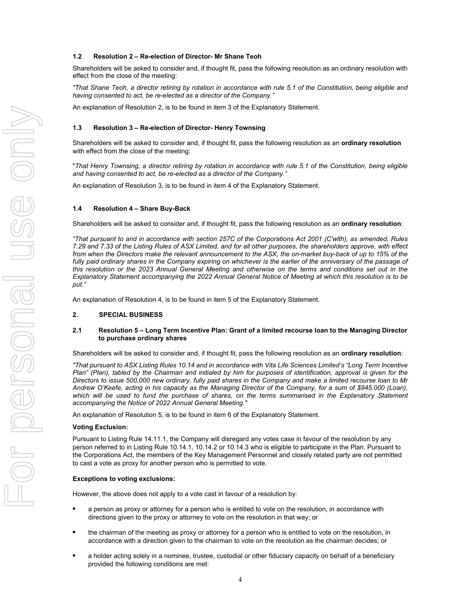#### **1.2 Resolution 2 – Re-election of Director- Mr Shane Teoh**

Shareholders will be asked to consider and, if thought fit, pass the following resolution as an ordinary resolution with effect from the close of the meeting:

*"That Shane Teoh, a director retiring by rotation in accordance with rule 5.1 of the Constitution, being eligible and having consented to act, be re-elected as a director of the Company."* 

An explanation of Resolution 2, is to be found in item 3 of the Explanatory Statement.

#### **1.3 Resolution 3 – Re-election of Director- Henry Townsing**

Shareholders will be asked to consider and, if thought fit, pass the following resolution as an **ordinary resolution** with effect from the close of the meeting:

"*That Henry Townsing, a director retiring by rotation in accordance with rule 5.1 of the Constitution, being eligible and having consented to act, be re-elected as a director of the Company."*

An explanation of Resolution 3, is to be found in item 4 of the Explanatory Statement.

#### **1.4 Resolution 4 – Share Buy-Back**

Shareholders will be asked to consider and, if thought fit, pass the following resolution as an **ordinary resolution**:

*"That pursuant to and in accordance with section 257C of the Corporations Act 2001 (C'wlth), as amended, Rules 7.29 and 7.33 of the Listing Rules of ASX Limited, and for all other purposes, the shareholders approve, with effect from when the Directors make the relevant announcement to the ASX, the on-market buy-back of up to 15% of the*  fully paid ordinary shares in the Company expiring on whichever is the earlier of the anniversary of the passage of *this resolution or the 2023 Annual General Meeting and otherwise on the terms and conditions set out in the Explanatory Statement accompanying the 2022 Annual General Notice of Meeting at which this resolution is to be put."* 

An explanation of Resolution 4, is to be found in item 5 of the Explanatory Statement.

#### **2. SPECIAL BUSINESS**

#### **2.1 Resolution 5 – Long Term Incentive Plan: Grant of a limited recourse loan to the Managing Director to purchase ordinary shares**

Shareholders will be asked to consider and, if thought fit, pass the following resolution as an **ordinary resolution**:

*"That pursuant to ASX Listing Rules 10.14 and in accordance with Vita Life Sciences Limited's "Long Term Incentive Plan" (Plan), tabled by the Chairman and initialed by him for purposes of identification, approval is given for the Directors to issue 500,000 new ordinary, fully paid shares in the Company and make a limited recourse loan to Mr Andrew O'Keefe, acting in his capacity as the Managing Director of the Company, for a sum of \$945,000 (Loan), which will be used to fund the purchase of shares, on the terms summarised in the Explanatory Statement accompanying the Notice of 2022 Annual General Meeting."* 

An explanation of Resolution 5, is to be found in item 6 of the Explanatory Statement.

#### **Voting Exclusion:**

Pursuant to Listing Rule 14.11.1, the Company will disregard any votes case in favour of the resolution by any person referred to in Listing Rule 10.14.1, 10.14.2 or 10.14.3 who is eligible to participate in the Plan. Pursuant to the Corporations Act, the members of the Key Management Personnel and closely related party are not permitted to cast a vote as proxy for another person who is permitted to vote.

#### **Exceptions to voting exclusions:**

However, the above does not apply to a vote cast in favour of a resolution by:

- a person as proxy or attorney for a person who is entitled to vote on the resolution, in accordance with directions given to the proxy or attorney to vote on the resolution in that way; or
- **•** the chairman of the meeting as proxy or attorney for a person who is entitled to vote on the resolution, in accordance with a direction given to the chairman to vote on the resolution as the chairman decides; or
- a holder acting solely in a nominee, trustee, custodial or other fiduciary capacity on behalf of a beneficiary provided the following conditions are met: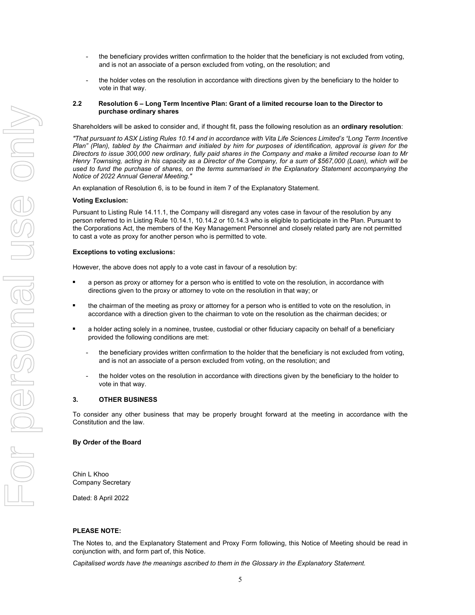- the beneficiary provides written confirmation to the holder that the beneficiary is not excluded from voting, and is not an associate of a person excluded from voting, on the resolution; and
- the holder votes on the resolution in accordance with directions given by the beneficiary to the holder to vote in that way.

#### **2.2 Resolution 6 – Long Term Incentive Plan: Grant of a limited recourse loan to the Director to purchase ordinary shares**

Shareholders will be asked to consider and, if thought fit, pass the following resolution as an **ordinary resolution**:

*"That pursuant to ASX Listing Rules 10.14 and in accordance with Vita Life Sciences Limited's "Long Term Incentive Plan" (Plan), tabled by the Chairman and initialed by him for purposes of identification, approval is given for the Directors to issue 300,000 new ordinary, fully paid shares in the Company and make a limited recourse loan to Mr Henry Townsing, acting in his capacity as a Director of the Company, for a sum of \$567,000 (Loan), which will be used to fund the purchase of shares, on the terms summarised in the Explanatory Statement accompanying the Notice of 2022 Annual General Meeting."* 

An explanation of Resolution 6, is to be found in item 7 of the Explanatory Statement.

#### **Voting Exclusion:**

Pursuant to Listing Rule 14.11.1, the Company will disregard any votes case in favour of the resolution by any person referred to in Listing Rule 10.14.1, 10.14.2 or 10.14.3 who is eligible to participate in the Plan. Pursuant to the Corporations Act, the members of the Key Management Personnel and closely related party are not permitted to cast a vote as proxy for another person who is permitted to vote.

#### **Exceptions to voting exclusions:**

However, the above does not apply to a vote cast in favour of a resolution by:

- a person as proxy or attorney for a person who is entitled to vote on the resolution, in accordance with directions given to the proxy or attorney to vote on the resolution in that way; or
- the chairman of the meeting as proxy or attorney for a person who is entitled to vote on the resolution, in accordance with a direction given to the chairman to vote on the resolution as the chairman decides; or
- a holder acting solely in a nominee, trustee, custodial or other fiduciary capacity on behalf of a beneficiary provided the following conditions are met:
	- the beneficiary provides written confirmation to the holder that the beneficiary is not excluded from voting, and is not an associate of a person excluded from voting, on the resolution; and
	- the holder votes on the resolution in accordance with directions given by the beneficiary to the holder to vote in that way.

#### **3. OTHER BUSINESS**

To consider any other business that may be properly brought forward at the meeting in accordance with the Constitution and the law.

#### **By Order of the Board**

Chin L Khoo Company Secretary

Dated: 8 April 2022

#### **PLEASE NOTE:**

The Notes to, and the Explanatory Statement and Proxy Form following, this Notice of Meeting should be read in conjunction with, and form part of, this Notice.

*Capitalised words have the meanings ascribed to them in the Glossary in the Explanatory Statement.*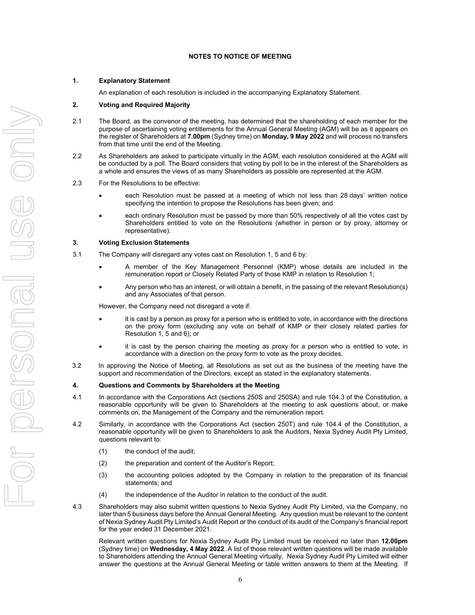#### **NOTES TO NOTICE OF MEETING**

#### **1. Explanatory Statement**

An explanation of each resolution is included in the accompanying Explanatory Statement.

#### **2. Voting and Required Majority**

- 2.1 The Board, as the convenor of the meeting, has determined that the shareholding of each member for the purpose of ascertaining voting entitlements for the Annual General Meeting (AGM) will be as it appears on the register of Shareholders at **7.00pm** (Sydney time) on **Monday, 9 May 2022** and will process no transfers from that time until the end of the Meeting.
- 2.2 As Shareholders are asked to participate virtually in the AGM, each resolution considered at the AGM will be conducted by a poll. The Board considers that voting by poll to be in the interest of the Shareholders as a whole and ensures the views of as many Shareholders as possible are represented at the AGM.

#### 2.3 For the Resolutions to be effective:

- each Resolution must be passed at a meeting of which not less than 28 days' written notice specifying the intention to propose the Resolutions has been given; and
- each ordinary Resolution must be passed by more than 50% respectively of all the votes cast by Shareholders entitled to vote on the Resolutions (whether in person or by proxy, attorney or representative).

#### **3. Voting Exclusion Statements**

- 3.1 The Company will disregard any votes cast on Resolution 1, 5 and 6 by:
	- A member of the Key Management Personnel (KMP) whose details are included in the remuneration report or Closely Related Party of those KMP in relation to Resolution 1;
	- Any person who has an interest, or will obtain a benefit, in the passing of the relevant Resolution(s) and any Associates of that person.

However, the Company need not disregard a vote if:

- it is cast by a person as proxy for a person who is entitled to vote, in accordance with the directions on the proxy form (excluding any vote on behalf of KMP or their closely related parties for Resolution 1, 5 and 6); or
- it is cast by the person chairing the meeting as proxy for a person who is entitled to vote, in accordance with a direction on the proxy form to vote as the proxy decides.
- 3.2 In approving the Notice of Meeting, all Resolutions as set out as the business of the meeting have the support and recommendation of the Directors, except as stated in the explanatory statements.

#### **4. Questions and Comments by Shareholders at the Meeting**

- 4.1 In accordance with the Corporations Act (sections 250S and 250SA) and rule 104.3 of the Constitution, a reasonable opportunity will be given to Shareholders at the meeting to ask questions about, or make comments on, the Management of the Company and the remuneration report.
- 4.2 Similarly, in accordance with the Corporations Act (section 250T) and rule 104.4 of the Constitution, a reasonable opportunity will be given to Shareholders to ask the Auditors, Nexia Sydney Audit Pty Limited, questions relevant to:
	- (1) the conduct of the audit;
	- (2) the preparation and content of the Auditor's Report;
	- (3) the accounting policies adopted by the Company in relation to the preparation of its financial statements; and
	- (4) the independence of the Auditor in relation to the conduct of the audit.
- 4.3 Shareholders may also submit written questions to Nexia Sydney Audit Pty Limited, via the Company, no later than 5 business days before the Annual General Meeting. Any question must be relevant to the content of Nexia Sydney Audit Pty Limited's Audit Report or the conduct of its audit of the Company's financial report for the year ended 31 December 2021.

Relevant written questions for Nexia Sydney Audit Pty Limited must be received no later than **12.00pm** (Sydney time) on **Wednesday, 4 May 2022**. A list of those relevant written questions will be made available to Shareholders attending the Annual General Meeting virtually. Nexia Sydney Audit Pty Limited will either answer the questions at the Annual General Meeting or table written answers to them at the Meeting. If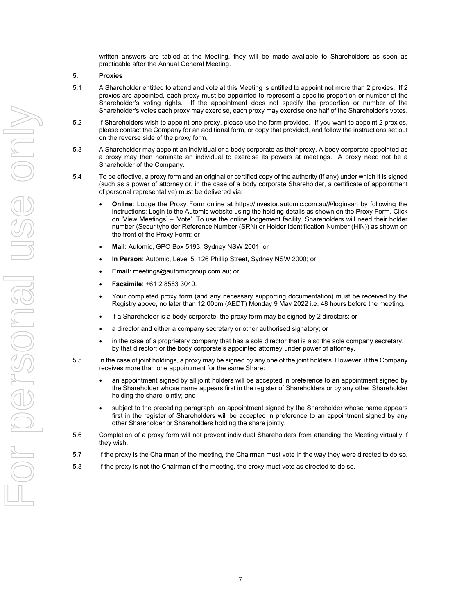written answers are tabled at the Meeting, they will be made available to Shareholders as soon as practicable after the Annual General Meeting.

#### **5. Proxies**

- 5.1 A Shareholder entitled to attend and vote at this Meeting is entitled to appoint not more than 2 proxies. If 2 proxies are appointed, each proxy must be appointed to represent a specific proportion or number of the Shareholder's voting rights. If the appointment does not specify the proportion or number of the Shareholder's votes each proxy may exercise, each proxy may exercise one half of the Shareholder's votes.
- 5.2 If Shareholders wish to appoint one proxy, please use the form provided. If you want to appoint 2 proxies, please contact the Company for an additional form, or copy that provided, and follow the instructions set out on the reverse side of the proxy form.
- 5.3 A Shareholder may appoint an individual or a body corporate as their proxy. A body corporate appointed as a proxy may then nominate an individual to exercise its powers at meetings. A proxy need not be a Shareholder of the Company.
- 5.4 To be effective, a proxy form and an original or certified copy of the authority (if any) under which it is signed (such as a power of attorney or, in the case of a body corporate Shareholder, a certificate of appointment of personal representative) must be delivered via:
	- **Online**: Lodge the Proxy Form online at https://investor.automic.com.au/#/loginsah by following the instructions: Login to the Automic website using the holding details as shown on the Proxy Form. Click on 'View Meetings' – 'Vote'. To use the online lodgement facility, Shareholders will need their holder number (Securityholder Reference Number (SRN) or Holder Identification Number (HIN)) as shown on the front of the Proxy Form; or
	- **Mail**: Automic, GPO Box 5193, Sydney NSW 2001; or
	- **In Person**: Automic, Level 5, 126 Phillip Street, Sydney NSW 2000; or
	- **Email**: meetings@automicgroup.com.au; or
	- **Facsimile**: +61 2 8583 3040.
	- Your completed proxy form (and any necessary supporting documentation) must be received by the Registry above, no later than 12.00pm (AEDT) Monday 9 May 2022 i.e. 48 hours before the meeting.
	- If a Shareholder is a body corporate, the proxy form may be signed by 2 directors; or
	- a director and either a company secretary or other authorised signatory; or
	- in the case of a proprietary company that has a sole director that is also the sole company secretary, by that director; or the body corporate's appointed attorney under power of attorney.
- 5.5 In the case of joint holdings, a proxy may be signed by any one of the joint holders. However, if the Company receives more than one appointment for the same Share:
	- an appointment signed by all joint holders will be accepted in preference to an appointment signed by the Shareholder whose name appears first in the register of Shareholders or by any other Shareholder holding the share jointly; and
	- subject to the preceding paragraph, an appointment signed by the Shareholder whose name appears first in the register of Shareholders will be accepted in preference to an appointment signed by any other Shareholder or Shareholders holding the share jointly.
- 5.6 Completion of a proxy form will not prevent individual Shareholders from attending the Meeting virtually if they wish.
- 5.7 If the proxy is the Chairman of the meeting, the Chairman must vote in the way they were directed to do so.
- 5.8 If the proxy is not the Chairman of the meeting, the proxy must vote as directed to do so.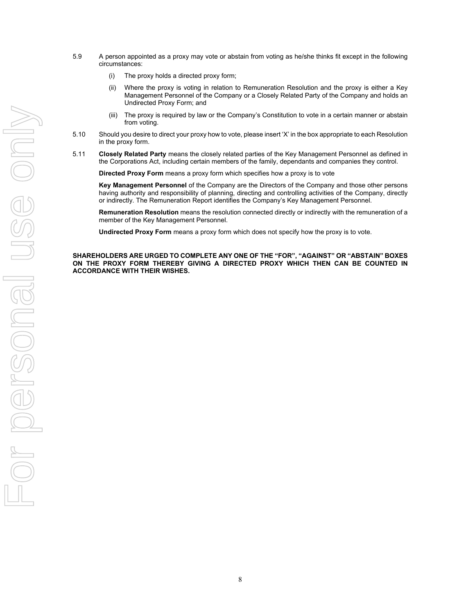- 5.9 A person appointed as a proxy may vote or abstain from voting as he/she thinks fit except in the following circumstances:
	- (i) The proxy holds a directed proxy form;
	- (ii) Where the proxy is voting in relation to Remuneration Resolution and the proxy is either a Key Management Personnel of the Company or a Closely Related Party of the Company and holds an Undirected Proxy Form; and
	- (iii) The proxy is required by law or the Company's Constitution to vote in a certain manner or abstain from voting.
- 5.10 Should you desire to direct your proxy how to vote, please insert 'X' in the box appropriate to each Resolution in the proxy form.
- 5.11 **Closely Related Party** means the closely related parties of the Key Management Personnel as defined in the Corporations Act, including certain members of the family, dependants and companies they control.

**Directed Proxy Form** means a proxy form which specifies how a proxy is to vote

**Key Management Personnel** of the Company are the Directors of the Company and those other persons having authority and responsibility of planning, directing and controlling activities of the Company, directly or indirectly. The Remuneration Report identifies the Company's Key Management Personnel.

**Remuneration Resolution** means the resolution connected directly or indirectly with the remuneration of a member of the Key Management Personnel.

**Undirected Proxy Form** means a proxy form which does not specify how the proxy is to vote.

**SHAREHOLDERS ARE URGED TO COMPLETE ANY ONE OF THE "FOR", "AGAINST" OR "ABSTAIN" BOXES ON THE PROXY FORM THEREBY GIVING A DIRECTED PROXY WHICH THEN CAN BE COUNTED IN ACCORDANCE WITH THEIR WISHES.**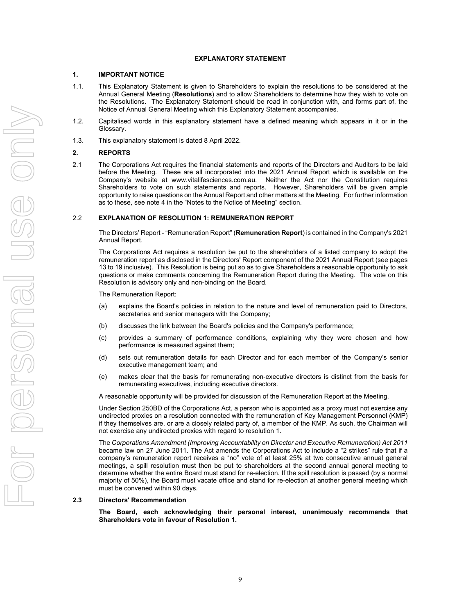#### **EXPLANATORY STATEMENT**

#### **1. IMPORTANT NOTICE**

- 1.1. This Explanatory Statement is given to Shareholders to explain the resolutions to be considered at the Annual General Meeting (**Resolutions**) and to allow Shareholders to determine how they wish to vote on the Resolutions. The Explanatory Statement should be read in conjunction with, and forms part of, the Notice of Annual General Meeting which this Explanatory Statement accompanies.
- 1.2. Capitalised words in this explanatory statement have a defined meaning which appears in it or in the Glossary.
- 1.3. This explanatory statement is dated 8 April 2022.

#### **2. REPORTS**

2.1 The Corporations Act requires the financial statements and reports of the Directors and Auditors to be laid before the Meeting. These are all incorporated into the 2021 Annual Report which is available on the Company's website at www.vitalifesciences.com.au. Neither the Act nor the Constitution requires Shareholders to vote on such statements and reports. However, Shareholders will be given ample opportunity to raise questions on the Annual Report and other matters at the Meeting. For further information as to these, see note 4 in the "Notes to the Notice of Meeting" section.

#### 2.2 **EXPLANATION OF RESOLUTION 1: REMUNERATION REPORT**

The Directors' Report - "Remuneration Report" (**Remuneration Report**) is contained in the Company's 2021 Annual Report.

The Corporations Act requires a resolution be put to the shareholders of a listed company to adopt the remuneration report as disclosed in the Directors' Report component of the 2021 Annual Report (see pages 13 to 19 inclusive). This Resolution is being put so as to give Shareholders a reasonable opportunity to ask questions or make comments concerning the Remuneration Report during the Meeting. The vote on this Resolution is advisory only and non-binding on the Board.

The Remuneration Report:

- (a) explains the Board's policies in relation to the nature and level of remuneration paid to Directors, secretaries and senior managers with the Company;
- (b) discusses the link between the Board's policies and the Company's performance;
- (c) provides a summary of performance conditions, explaining why they were chosen and how performance is measured against them;
- (d) sets out remuneration details for each Director and for each member of the Company's senior executive management team; and
- (e) makes clear that the basis for remunerating non-executive directors is distinct from the basis for remunerating executives, including executive directors.

A reasonable opportunity will be provided for discussion of the Remuneration Report at the Meeting.

Under Section 250BD of the Corporations Act, a person who is appointed as a proxy must not exercise any undirected proxies on a resolution connected with the remuneration of Key Management Personnel (KMP) if they themselves are, or are a closely related party of, a member of the KMP. As such, the Chairman will not exercise any undirected proxies with regard to resolution 1.

The *Corporations Amendment (Improving Accountability on Director and Executive Remuneration) Act 2011* became law on 27 June 2011. The Act amends the Corporations Act to include a "2 strikes" rule that if a company's remuneration report receives a "no" vote of at least 25% at two consecutive annual general meetings, a spill resolution must then be put to shareholders at the second annual general meeting to determine whether the entire Board must stand for re-election. If the spill resolution is passed (by a normal majority of 50%), the Board must vacate office and stand for re-election at another general meeting which must be convened within 90 days.

#### **2.3 Directors' Recommendation**

**The Board, each acknowledging their personal interest, unanimously recommends that Shareholders vote in favour of Resolution 1.**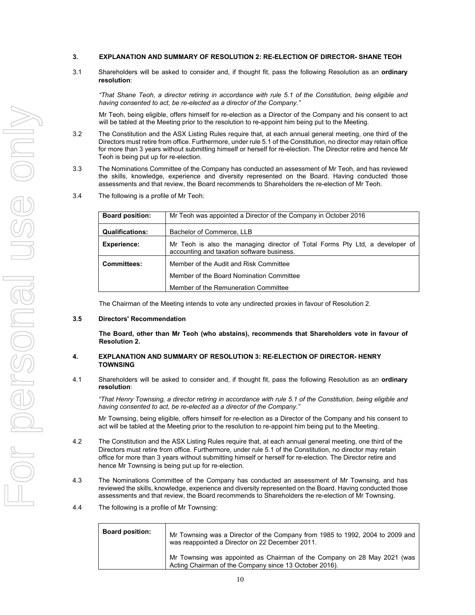- **3. EXPLANATION AND SUMMARY OF RESOLUTION 2: RE-ELECTION OF DIRECTOR- SHANE TEOH**
- 3.1 Shareholders will be asked to consider and, if thought fit, pass the following Resolution as an **ordinary resolution**:

*"That Shane Teoh, a director retiring in accordance with rule 5.1 of the Constitution, being eligible and having consented to act, be re-elected as a director of the Company."* 

Mr Teoh, being eligible, offers himself for re-election as a Director of the Company and his consent to act will be tabled at the Meeting prior to the resolution to re-appoint him being put to the Meeting.

- 3.2 The Constitution and the ASX Listing Rules require that, at each annual general meeting, one third of the Directors must retire from office. Furthermore, under rule 5.1 of the Constitution, no director may retain office for more than 3 years without submitting himself or herself for re-election. The Director retire and hence Mr Teoh is being put up for re-election.
- 3.3 The Nominations Committee of the Company has conducted an assessment of Mr Teoh, and has reviewed the skills, knowledge, experience and diversity represented on the Board. Having conducted those assessments and that review, the Board recommends to Shareholders the re-election of Mr Teoh.
- 3.4 The following is a profile of Mr Teoh:

| <b>Board position:</b> | Mr Teoh was appointed a Director of the Company in October 2016                                                            |  |
|------------------------|----------------------------------------------------------------------------------------------------------------------------|--|
| <b>Qualifications:</b> | Bachelor of Commerce, LLB                                                                                                  |  |
| <b>Experience:</b>     | Mr Teoh is also the managing director of Total Forms Pty Ltd, a developer of<br>accounting and taxation software business. |  |
| <b>Committees:</b>     | Member of the Audit and Risk Committee                                                                                     |  |
|                        | Member of the Board Nomination Committee                                                                                   |  |
|                        | Member of the Remuneration Committee                                                                                       |  |

The Chairman of the Meeting intends to vote any undirected proxies in favour of Resolution 2.

#### **3.5 Directors' Recommendation**

**The Board, other than Mr Teoh (who abstains), recommends that Shareholders vote in favour of Resolution 2.** 

#### **4. EXPLANATION AND SUMMARY OF RESOLUTION 3: RE-ELECTION OF DIRECTOR- HENRY TOWNSING**

4.1 Shareholders will be asked to consider and, if thought fit, pass the following Resolution as an **ordinary resolution**:

*"That Henry Townsing, a director retiring in accordance with rule 5.1 of the Constitution, being eligible and having consented to act, be re-elected as a director of the Company."* 

Mr Townsing, being eligible, offers himself for re-election as a Director of the Company and his consent to act will be tabled at the Meeting prior to the resolution to re-appoint him being put to the Meeting.

- 4.2 The Constitution and the ASX Listing Rules require that, at each annual general meeting, one third of the Directors must retire from office. Furthermore, under rule 5.1 of the Constitution, no director may retain office for more than 3 years without submitting himself or herself for re-election. The Director retire and hence Mr Townsing is being put up for re-election.
- 4.3 The Nominations Committee of the Company has conducted an assessment of Mr Townsing, and has reviewed the skills, knowledge, experience and diversity represented on the Board. Having conducted those assessments and that review, the Board recommends to Shareholders the re-election of Mr Townsing.
- 4.4 The following is a profile of Mr Townsing:

| <b>Board position:</b> | Mr Townsing was a Director of the Company from 1985 to 1992, 2004 to 2009 and<br>was reappointed a Director on 22 December 2011.   |
|------------------------|------------------------------------------------------------------------------------------------------------------------------------|
|                        | Mr Townsing was appointed as Chairman of the Company on 28 May 2021 (was<br>Acting Chairman of the Company since 13 October 2016). |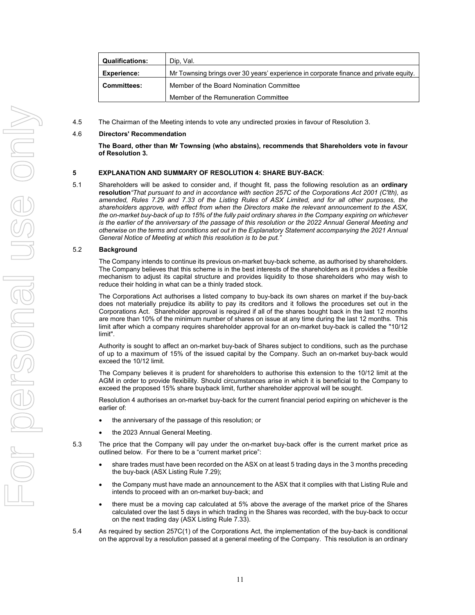| <b>Qualifications:</b> | Dip. Val.                                                                             |
|------------------------|---------------------------------------------------------------------------------------|
| <b>Experience:</b>     | Mr Townsing brings over 30 years' experience in corporate finance and private equity. |
| <b>Committees:</b>     | Member of the Board Nomination Committee                                              |
|                        | Member of the Remuneration Committee                                                  |

4.5 The Chairman of the Meeting intends to vote any undirected proxies in favour of Resolution 3.

#### 4.6 **Directors' Recommendation**

**The Board, other than Mr Townsing (who abstains), recommends that Shareholders vote in favour of Resolution 3.** 

#### **5 EXPLANATION AND SUMMARY OF RESOLUTION 4: SHARE BUY-BACK**:

5.1 Shareholders will be asked to consider and, if thought fit, pass the following resolution as an **ordinary resolution***"That pursuant to and in accordance with section 257C of the Corporations Act 2001 (C'lth), as amended, Rules 7.29 and 7.33 of the Listing Rules of ASX Limited, and for all other purposes, the shareholders approve, with effect from when the Directors make the relevant announcement to the ASX, the on-market buy-back of up to 15% of the fully paid ordinary shares in the Company expiring on whichever is the earlier of the anniversary of the passage of this resolution or the 2022 Annual General Meeting and otherwise on the terms and conditions set out in the Explanatory Statement accompanying the 2021 Annual General Notice of Meeting at which this resolution is to be put."* 

#### 5.2 **Background**

The Company intends to continue its previous on-market buy-back scheme, as authorised by shareholders. The Company believes that this scheme is in the best interests of the shareholders as it provides a flexible mechanism to adjust its capital structure and provides liquidity to those shareholders who may wish to reduce their holding in what can be a thinly traded stock.

The Corporations Act authorises a listed company to buy-back its own shares on market if the buy-back does not materially prejudice its ability to pay its creditors and it follows the procedures set out in the Corporations Act. Shareholder approval is required if all of the shares bought back in the last 12 months are more than 10% of the minimum number of shares on issue at any time during the last 12 months. This limit after which a company requires shareholder approval for an on-market buy-back is called the "10/12 limit".

Authority is sought to affect an on-market buy-back of Shares subject to conditions, such as the purchase of up to a maximum of 15% of the issued capital by the Company. Such an on-market buy-back would exceed the 10/12 limit.

The Company believes it is prudent for shareholders to authorise this extension to the 10/12 limit at the AGM in order to provide flexibility. Should circumstances arise in which it is beneficial to the Company to exceed the proposed 15% share buyback limit, further shareholder approval will be sought.

Resolution 4 authorises an on-market buy-back for the current financial period expiring on whichever is the earlier of:

- the anniversary of the passage of this resolution; or
- the 2023 Annual General Meeting.
- 5.3 The price that the Company will pay under the on-market buy-back offer is the current market price as outlined below. For there to be a "current market price":
	- share trades must have been recorded on the ASX on at least 5 trading days in the 3 months preceding the buy-back (ASX Listing Rule 7.29);
	- the Company must have made an announcement to the ASX that it complies with that Listing Rule and intends to proceed with an on-market buy-back; and
	- there must be a moving cap calculated at 5% above the average of the market price of the Shares calculated over the last 5 days in which trading in the Shares was recorded, with the buy-back to occur on the next trading day (ASX Listing Rule 7.33).
- 5.4 As required by section 257C(1) of the Corporations Act, the implementation of the buy-back is conditional on the approval by a resolution passed at a general meeting of the Company. This resolution is an ordinary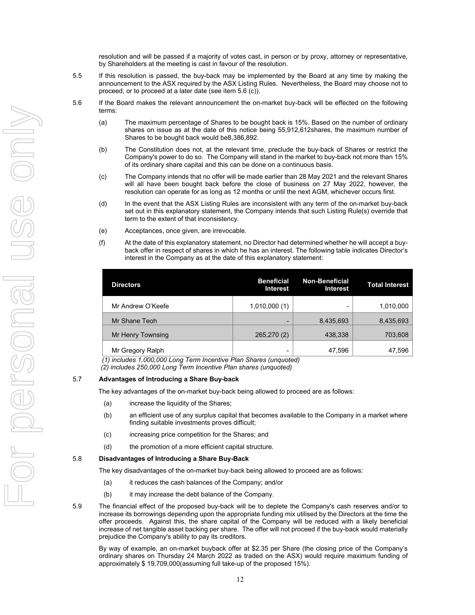resolution and will be passed if a majority of votes cast, in person or by proxy, attorney or representative, by Shareholders at the meeting is cast in favour of the resolution.

- 5.5 If this resolution is passed, the buy-back may be implemented by the Board at any time by making the announcement to the ASX required by the ASX Listing Rules. Nevertheless, the Board may choose not to proceed, or to proceed at a later date (see item 5.6 (c)).
- 5.6 If the Board makes the relevant announcement the on-market buy-back will be effected on the following terms:
	- (a) The maximum percentage of Shares to be bought back is 15%. Based on the number of ordinary shares on issue as at the date of this notice being 55,912,612shares, the maximum number of Shares to be bought back would be8,386,892.
	- (b) The Constitution does not, at the relevant time, preclude the buy-back of Shares or restrict the Company's power to do so. The Company will stand in the market to buy-back not more than 15% of its ordinary share capital and this can be done on a continuous basis.
	- (c) The Company intends that no offer will be made earlier than 28 May 2021 and the relevant Shares will all have been bought back before the close of business on 27 May 2022, however, the resolution can operate for as long as 12 months or until the next AGM, whichever occurs first.
	- (d) In the event that the ASX Listing Rules are inconsistent with any term of the on-market buy-back set out in this explanatory statement, the Company intends that such Listing Rule(s) override that term to the extent of that inconsistency.
	- (e) Acceptances, once given, are irrevocable.
	- (f) At the date of this explanatory statement, no Director had determined whether he will accept a buyback offer in respect of shares in which he has an interest. The following table indicates Director's interest in the Company as at the date of this explanatory statement:

| <b>Directors</b>  | <b>Beneficial</b><br><b>Interest</b> | <b>Non-Beneficial</b><br><b>Interest</b> | <b>Total Interest</b> |
|-------------------|--------------------------------------|------------------------------------------|-----------------------|
| Mr Andrew O'Keefe | 1,010,000(1)                         | -                                        | 1,010,000             |
| Mr Shane Teoh     | -                                    | 8,435,693                                | 8,435,693             |
| Mr Henry Townsing | 265,270 (2)                          | 438,338                                  | 703,608               |
| Mr Gregory Ralph  | -                                    | 47,596                                   | 47,596                |

*(1) includes 1,000,000 Long Term Incentive Plan Shares (unquoted)* 

 *(2) includes 250,000 Long Term Incentive Plan shares (unquoted)* 

#### 5.7 **Advantages of Introducing a Share Buy-back**

The key advantages of the on-market buy-back being allowed to proceed are as follows:

- (a) increase the liquidity of the Shares;
- (b) an efficient use of any surplus capital that becomes available to the Company in a market where finding suitable investments proves difficult;
- (c) increasing price competition for the Shares; and
- (d) the promotion of a more efficient capital structure.

#### 5.8 **Disadvantages of Introducing a Share Buy-Back**

The key disadvantages of the on-market buy-back being allowed to proceed are as follows:

- (a) it reduces the cash balances of the Company; and/or
- (b) it may increase the debt balance of the Company.
- 5.9 The financial effect of the proposed buy-back will be to deplete the Company's cash reserves and/or to increase its borrowings depending upon the appropriate funding mix utilised by the Directors at the time the offer proceeds. Against this, the share capital of the Company will be reduced with a likely beneficial increase of net tangible asset backing per share. The offer will not proceed if the buy-back would materially prejudice the Company's ability to pay its creditors.

By way of example, an on-market buyback offer at \$2.35 per Share (the closing price of the Company's ordinary shares on Thursday 24 March 2022 as traded on the ASX) would require maximum funding of approximately \$ 19,709,000(assuming full take-up of the proposed 15%).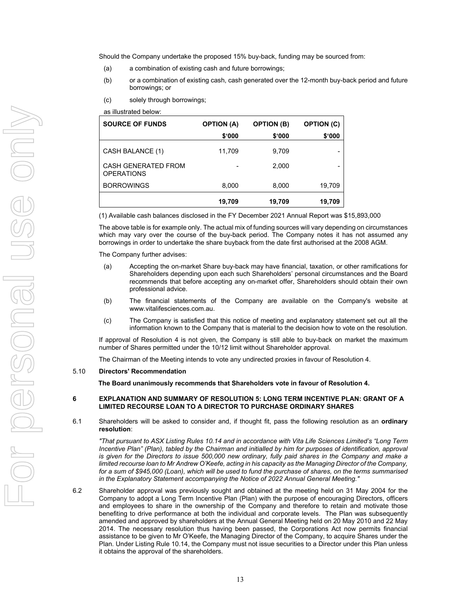Should the Company undertake the proposed 15% buy-back, funding may be sourced from:

- (a) a combination of existing cash and future borrowings;
- (b) or a combination of existing cash, cash generated over the 12-month buy-back period and future borrowings; or
- (c) solely through borrowings;
- as illustrated below:

| <b>SOURCE OF FUNDS</b>                          | <b>OPTION (A)</b> | <b>OPTION (B)</b> | <b>OPTION (C)</b> |
|-------------------------------------------------|-------------------|-------------------|-------------------|
|                                                 | \$'000            | \$'000            | \$.000            |
| CASH BALANCE (1)                                | 11,709            | 9.709             | -                 |
| <b>CASH GENERATED FROM</b><br><b>OPERATIONS</b> |                   | 2,000             | -                 |
| <b>BORROWINGS</b>                               | 8,000             | 8,000             | 19,709            |
|                                                 | 19,709            | 19,709            | 19,709            |

(1) Available cash balances disclosed in the FY December 2021 Annual Report was \$15,893,000

The above table is for example only. The actual mix of funding sources will vary depending on circumstances which may vary over the course of the buy-back period. The Company notes it has not assumed any borrowings in order to undertake the share buyback from the date first authorised at the 2008 AGM.

The Company further advises:

- (a) Accepting the on-market Share buy-back may have financial, taxation, or other ramifications for Shareholders depending upon each such Shareholders' personal circumstances and the Board recommends that before accepting any on-market offer, Shareholders should obtain their own professional advice.
- (b) The financial statements of the Company are available on the Company's website at www.vitalifesciences.com.au.
- (c) The Company is satisfied that this notice of meeting and explanatory statement set out all the information known to the Company that is material to the decision how to vote on the resolution.

If approval of Resolution 4 is not given, the Company is still able to buy-back on market the maximum number of Shares permitted under the 10/12 limit without Shareholder approval.

The Chairman of the Meeting intends to vote any undirected proxies in favour of Resolution 4.

#### 5.10 **Directors' Recommendation**

**The Board unanimously recommends that Shareholders vote in favour of Resolution 4.** 

#### **6 EXPLANATION AND SUMMARY OF RESOLUTION 5: LONG TERM INCENTIVE PLAN: GRANT OF A LIMITED RECOURSE LOAN TO A DIRECTOR TO PURCHASE ORDINARY SHARES**

6.1 Shareholders will be asked to consider and, if thought fit, pass the following resolution as an **ordinary resolution**:

*"That pursuant to ASX Listing Rules 10.14 and in accordance with Vita Life Sciences Limited's "Long Term Incentive Plan" (Plan), tabled by the Chairman and initialled by him for purposes of identification, approval is given for the Directors to issue 500,000 new ordinary, fully paid shares in the Company and make a limited recourse loan to Mr Andrew O'Keefe, acting in his capacity as the Managing Director of the Company, for a sum of \$945,000 (Loan), which will be used to fund the purchase of shares, on the terms summarised in the Explanatory Statement accompanying the Notice of 2022 Annual General Meeting."* 

6.2 Shareholder approval was previously sought and obtained at the meeting held on 31 May 2004 for the Company to adopt a Long Term Incentive Plan (Plan) with the purpose of encouraging Directors, officers and employees to share in the ownership of the Company and therefore to retain and motivate those benefiting to drive performance at both the individual and corporate levels. The Plan was subsequently amended and approved by shareholders at the Annual General Meeting held on 20 May 2010 and 22 May 2014. The necessary resolution thus having been passed, the Corporations Act now permits financial assistance to be given to Mr O'Keefe, the Managing Director of the Company, to acquire Shares under the Plan. Under Listing Rule 10.14, the Company must not issue securities to a Director under this Plan unless it obtains the approval of the shareholders.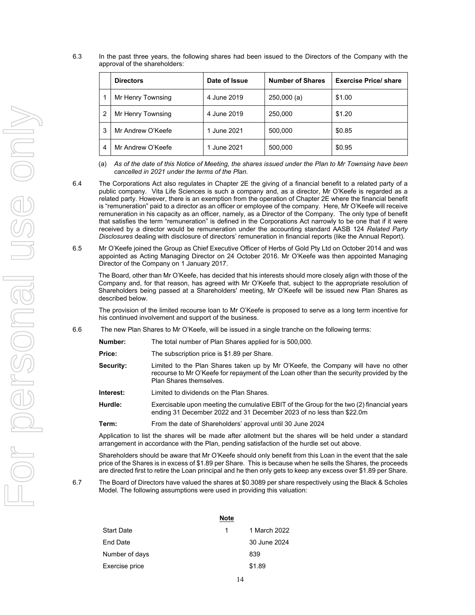6.3 In the past three years, the following shares had been issued to the Directors of the Company with the approval of the shareholders:

|               | <b>Directors</b>  | Date of Issue | <b>Number of Shares</b> | <b>Exercise Price/ share</b> |
|---------------|-------------------|---------------|-------------------------|------------------------------|
|               | Mr Henry Townsing | 4 June 2019   | 250,000(a)              | \$1.00                       |
| $\mathcal{P}$ | Mr Henry Townsing | 4 June 2019   | 250,000                 | \$1.20                       |
| 3             | Mr Andrew O'Keefe | 1 June 2021   | 500,000                 | \$0.85                       |
| 4             | Mr Andrew O'Keefe | 1 June 2021   | 500,000                 | \$0.95                       |

(a) *As of the date of this Notice of Meeting, the shares issued under the Plan to Mr Townsing have been cancelled in 2021 under the terms of the Plan.* 

6.4 The Corporations Act also regulates in Chapter 2E the giving of a financial benefit to a related party of a public company. Vita Life Sciences is such a company and, as a director, Mr O'Keefe is regarded as a related party. However, there is an exemption from the operation of Chapter 2E where the financial benefit is "remuneration" paid to a director as an officer or employee of the company. Here, Mr O'Keefe will receive remuneration in his capacity as an officer, namely, as a Director of the Company. The only type of benefit that satisfies the term "remuneration" is defined in the Corporations Act narrowly to be one that if it were received by a director would be remuneration under the accounting standard AASB 124 *Related Party Disclosures* dealing with disclosure of directors' remuneration in financial reports (like the Annual Report).

6.5 Mr O'Keefe joined the Group as Chief Executive Officer of Herbs of Gold Pty Ltd on October 2014 and was appointed as Acting Managing Director on 24 October 2016. Mr O'Keefe was then appointed Managing Director of the Company on 1 January 2017.

The Board, other than Mr O'Keefe, has decided that his interests should more closely align with those of the Company and, for that reason, has agreed with Mr O'Keefe that, subject to the appropriate resolution of Shareholders being passed at a Shareholders' meeting, Mr O'Keefe will be issued new Plan Shares as described below.

The provision of the limited recourse loan to Mr O'Keefe is proposed to serve as a long term incentive for his continued involvement and support of the business.

- 6.6 The new Plan Shares to Mr O'Keefe, will be issued in a single tranche on the following terms:
	- **Number:** The total number of Plan Shares applied for is 500,000.
	- **Price:** The subscription price is \$1.89 per Share.
	- **Security:** Limited to the Plan Shares taken up by Mr O'Keefe, the Company will have no other recourse to Mr O'Keefe for repayment of the Loan other than the security provided by the Plan Shares themselves.
	- **Interest:** Limited to dividends on the Plan Shares.
	- **Hurdle:** Exercisable upon meeting the cumulative EBIT of the Group for the two (2) financial years ending 31 December 2022 and 31 December 2023 of no less than \$22.0m
	- **Term:** From the date of Shareholders' approval until 30 June 2024

Application to list the shares will be made after allotment but the shares will be held under a standard arrangement in accordance with the Plan, pending satisfaction of the hurdle set out above.

Shareholders should be aware that Mr O'Keefe should only benefit from this Loan in the event that the sale price of the Shares is in excess of \$1.89 per Share. This is because when he sells the Shares, the proceeds are directed first to retire the Loan principal and he then only gets to keep any excess over \$1.89 per Share.

6.7 The Board of Directors have valued the shares at \$0.3089 per share respectively using the Black & Scholes Model. The following assumptions were used in providing this valuation:

|                | <b>Note</b> |              |
|----------------|-------------|--------------|
| Start Date     | 1.          | 1 March 2022 |
| End Date       |             | 30 June 2024 |
| Number of days |             | 839          |
| Exercise price |             | \$1.89       |
|                |             |              |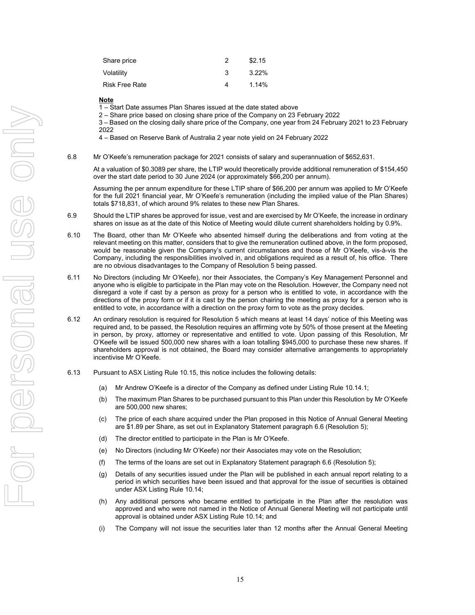| Share price           |   | \$2.15   |
|-----------------------|---|----------|
| Volatility            | з | $3.22\%$ |
| <b>Risk Free Rate</b> |   | 1.14%    |

#### **Note**

1 – Start Date assumes Plan Shares issued at the date stated above

2 – Share price based on closing share price of the Company on 23 February 2022

3 – Based on the closing daily share price of the Company, one year from 24 February 2021 to 23 February 2022

4 – Based on Reserve Bank of Australia 2 year note yield on 24 February 2022

6.8 Mr O'Keefe's remuneration package for 2021 consists of salary and superannuation of \$652,631.

At a valuation of \$0.3089 per share, the LTIP would theoretically provide additional remuneration of \$154,450 over the start date period to 30 June 2024 (or approximately \$66,200 per annum).

Assuming the per annum expenditure for these LTIP share of \$66,200 per annum was applied to Mr O'Keefe for the full 2021 financial year, Mr O'Keefe's remuneration (including the implied value of the Plan Shares) totals \$718,831, of which around 9% relates to these new Plan Shares.

- 6.9 Should the LTIP shares be approved for issue, vest and are exercised by Mr O'Keefe, the increase in ordinary shares on issue as at the date of this Notice of Meeting would dilute current shareholders holding by 0.9%.
- 6.10 The Board, other than Mr O'Keefe who absented himself during the deliberations and from voting at the relevant meeting on this matter, considers that to give the remuneration outlined above, in the form proposed, would be reasonable given the Company's current circumstances and those of Mr O'Keefe, vis-à-vis the Company, including the responsibilities involved in, and obligations required as a result of, his office. There are no obvious disadvantages to the Company of Resolution 5 being passed.
- 6.11 No Directors (including Mr O'Keefe), nor their Associates, the Company's Key Management Personnel and anyone who is eligible to participate in the Plan may vote on the Resolution. However, the Company need not disregard a vote if cast by a person as proxy for a person who is entitled to vote, in accordance with the directions of the proxy form or if it is cast by the person chairing the meeting as proxy for a person who is entitled to vote, in accordance with a direction on the proxy form to vote as the proxy decides.
- 6.12 An ordinary resolution is required for Resolution 5 which means at least 14 days' notice of this Meeting was required and, to be passed, the Resolution requires an affirming vote by 50% of those present at the Meeting in person, by proxy, attorney or representative and entitled to vote. Upon passing of this Resolution, Mr O'Keefe will be issued 500,000 new shares with a loan totalling \$945,000 to purchase these new shares. If shareholders approval is not obtained, the Board may consider alternative arrangements to appropriately incentivise Mr O'Keefe.
- 6.13 Pursuant to ASX Listing Rule 10.15, this notice includes the following details:
	- (a) Mr Andrew O'Keefe is a director of the Company as defined under Listing Rule 10.14.1;
	- (b) The maximum Plan Shares to be purchased pursuant to this Plan under this Resolution by Mr O'Keefe are 500,000 new shares;
	- (c) The price of each share acquired under the Plan proposed in this Notice of Annual General Meeting are \$1.89 per Share, as set out in Explanatory Statement paragraph 6.6 (Resolution 5);
	- (d) The director entitled to participate in the Plan is Mr O'Keefe.
	- (e) No Directors (including Mr O'Keefe) nor their Associates may vote on the Resolution;
	- (f) The terms of the loans are set out in Explanatory Statement paragraph 6.6 (Resolution 5);
	- (g) Details of any securities issued under the Plan will be published in each annual report relating to a period in which securities have been issued and that approval for the issue of securities is obtained under ASX Listing Rule 10.14;
	- (h) Any additional persons who became entitled to participate in the Plan after the resolution was approved and who were not named in the Notice of Annual General Meeting will not participate until approval is obtained under ASX Listing Rule 10.14; and
	- (i) The Company will not issue the securities later than 12 months after the Annual General Meeting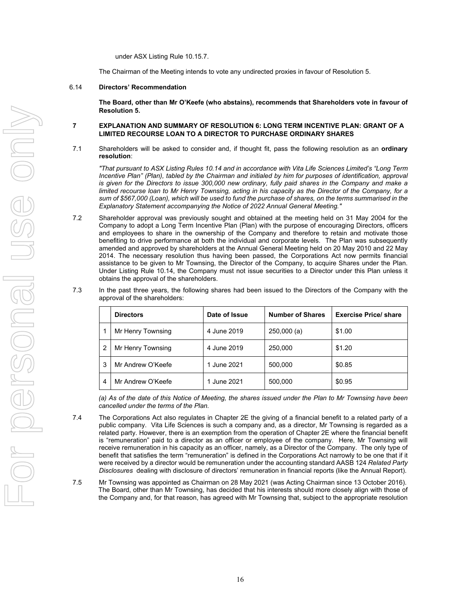under ASX Listing Rule 10.15.7.

The Chairman of the Meeting intends to vote any undirected proxies in favour of Resolution 5.

#### 6.14 **Directors' Recommendation**

**The Board, other than Mr O'Keefe (who abstains), recommends that Shareholders vote in favour of Resolution 5.** 

#### **7 EXPLANATION AND SUMMARY OF RESOLUTION 6: LONG TERM INCENTIVE PLAN: GRANT OF A LIMITED RECOURSE LOAN TO A DIRECTOR TO PURCHASE ORDINARY SHARES**

7.1 Shareholders will be asked to consider and, if thought fit, pass the following resolution as an **ordinary resolution**:

*"That pursuant to ASX Listing Rules 10.14 and in accordance with Vita Life Sciences Limited's "Long Term Incentive Plan" (Plan), tabled by the Chairman and initialed by him for purposes of identification, approval is given for the Directors to issue 300,000 new ordinary, fully paid shares in the Company and make a limited recourse loan to Mr Henry Townsing, acting in his capacity as the Director of the Company, for a sum of \$567,000 (Loan), which will be used to fund the purchase of shares, on the terms summarised in the Explanatory Statement accompanying the Notice of 2022 Annual General Meeting."* 

- 7.2 Shareholder approval was previously sought and obtained at the meeting held on 31 May 2004 for the Company to adopt a Long Term Incentive Plan (Plan) with the purpose of encouraging Directors, officers and employees to share in the ownership of the Company and therefore to retain and motivate those benefiting to drive performance at both the individual and corporate levels. The Plan was subsequently amended and approved by shareholders at the Annual General Meeting held on 20 May 2010 and 22 May 2014. The necessary resolution thus having been passed, the Corporations Act now permits financial assistance to be given to Mr Townsing, the Director of the Company, to acquire Shares under the Plan. Under Listing Rule 10.14, the Company must not issue securities to a Director under this Plan unless it obtains the approval of the shareholders.
- 7.3 In the past three years, the following shares had been issued to the Directors of the Company with the approval of the shareholders:

|                | <b>Directors</b>  | Date of Issue | <b>Number of Shares</b> | <b>Exercise Price/ share</b> |
|----------------|-------------------|---------------|-------------------------|------------------------------|
|                | Mr Henry Townsing | 4 June 2019   | 250,000(a)              | \$1.00                       |
| $\overline{2}$ | Mr Henry Townsing | 4 June 2019   | 250,000                 | \$1.20                       |
| 3              | Mr Andrew O'Keefe | 1 June 2021   | 500,000                 | \$0.85                       |
| 4              | Mr Andrew O'Keefe | 1 June 2021   | 500,000                 | \$0.95                       |

*(a) As of the date of this Notice of Meeting, the shares issued under the Plan to Mr Townsing have been cancelled under the terms of the Plan.* 

- 7.4 The Corporations Act also regulates in Chapter 2E the giving of a financial benefit to a related party of a public company. Vita Life Sciences is such a company and, as a director, Mr Townsing is regarded as a related party. However, there is an exemption from the operation of Chapter 2E where the financial benefit is "remuneration" paid to a director as an officer or employee of the company. Here, Mr Townsing will receive remuneration in his capacity as an officer, namely, as a Director of the Company. The only type of benefit that satisfies the term "remuneration" is defined in the Corporations Act narrowly to be one that if it were received by a director would be remuneration under the accounting standard AASB 124 *Related Party Disclosures* dealing with disclosure of directors' remuneration in financial reports (like the Annual Report).
- 7.5 Mr Townsing was appointed as Chairman on 28 May 2021 (was Acting Chairman since 13 October 2016). The Board, other than Mr Townsing, has decided that his interests should more closely align with those of the Company and, for that reason, has agreed with Mr Townsing that, subject to the appropriate resolution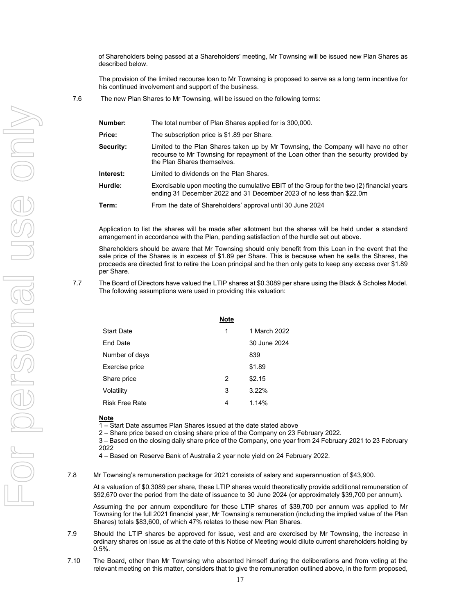of Shareholders being passed at a Shareholders' meeting, Mr Townsing will be issued new Plan Shares as described below.

The provision of the limited recourse loan to Mr Townsing is proposed to serve as a long term incentive for his continued involvement and support of the business.

7.6 The new Plan Shares to Mr Townsing, will be issued on the following terms:

| Number:   | The total number of Plan Shares applied for is 300,000.                                                                                                                                                    |
|-----------|------------------------------------------------------------------------------------------------------------------------------------------------------------------------------------------------------------|
| Price:    | The subscription price is \$1.89 per Share.                                                                                                                                                                |
| Security: | Limited to the Plan Shares taken up by Mr Townsing, the Company will have no other<br>recourse to Mr Townsing for repayment of the Loan other than the security provided by<br>the Plan Shares themselves. |
| Interest: | Limited to dividends on the Plan Shares.                                                                                                                                                                   |
| Hurdle:   | Exercisable upon meeting the cumulative EBIT of the Group for the two (2) financial years<br>ending 31 December 2022 and 31 December 2023 of no less than \$22.0m                                          |
| Term:     | From the date of Shareholders' approval until 30 June 2024                                                                                                                                                 |

Application to list the shares will be made after allotment but the shares will be held under a standard arrangement in accordance with the Plan, pending satisfaction of the hurdle set out above.

Shareholders should be aware that Mr Townsing should only benefit from this Loan in the event that the sale price of the Shares is in excess of \$1.89 per Share. This is because when he sells the Shares, the proceeds are directed first to retire the Loan principal and he then only gets to keep any excess over \$1.89 per Share.

7.7 The Board of Directors have valued the LTIP shares at \$0.3089 per share using the Black & Scholes Model. The following assumptions were used in providing this valuation:

|                | <b>Note</b> |              |
|----------------|-------------|--------------|
| Start Date     | 1           | 1 March 2022 |
| End Date       |             | 30 June 2024 |
| Number of days |             | 839          |
| Exercise price |             | \$1.89       |
| Share price    | 2           | \$2.15       |
| Volatility     | 3           | 3.22%        |
| Risk Free Rate | 4           | 1.14%        |
|                |             |              |

#### **Note**

1 – Start Date assumes Plan Shares issued at the date stated above

2 – Share price based on closing share price of the Company on 23 February 2022.

3 – Based on the closing daily share price of the Company, one year from 24 February 2021 to 23 February 2022

4 – Based on Reserve Bank of Australia 2 year note yield on 24 February 2022.

7.8 Mr Townsing's remuneration package for 2021 consists of salary and superannuation of \$43,900.

At a valuation of \$0.3089 per share, these LTIP shares would theoretically provide additional remuneration of \$92,670 over the period from the date of issuance to 30 June 2024 (or approximately \$39,700 per annum).

Assuming the per annum expenditure for these LTIP shares of \$39,700 per annum was applied to Mr Townsing for the full 2021 financial year, Mr Townsing's remuneration (including the implied value of the Plan Shares) totals \$83,600, of which 47% relates to these new Plan Shares.

- 7.9 Should the LTIP shares be approved for issue, vest and are exercised by Mr Townsing, the increase in ordinary shares on issue as at the date of this Notice of Meeting would dilute current shareholders holding by 0.5%.
- 7.10 The Board, other than Mr Townsing who absented himself during the deliberations and from voting at the relevant meeting on this matter, considers that to give the remuneration outlined above, in the form proposed,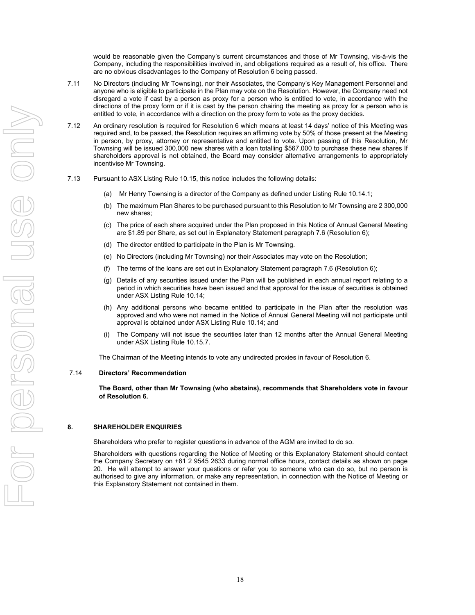would be reasonable given the Company's current circumstances and those of Mr Townsing, vis-à-vis the Company, including the responsibilities involved in, and obligations required as a result of, his office. There are no obvious disadvantages to the Company of Resolution 6 being passed.

- 7.11 No Directors (including Mr Townsing), nor their Associates, the Company's Key Management Personnel and anyone who is eligible to participate in the Plan may vote on the Resolution. However, the Company need not disregard a vote if cast by a person as proxy for a person who is entitled to vote, in accordance with the directions of the proxy form or if it is cast by the person chairing the meeting as proxy for a person who is entitled to vote, in accordance with a direction on the proxy form to vote as the proxy decides.
- 7.12 An ordinary resolution is required for Resolution 6 which means at least 14 days' notice of this Meeting was required and, to be passed, the Resolution requires an affirming vote by 50% of those present at the Meeting in person, by proxy, attorney or representative and entitled to vote. Upon passing of this Resolution, Mr Townsing will be issued 300,000 new shares with a loan totalling \$567,000 to purchase these new shares If shareholders approval is not obtained, the Board may consider alternative arrangements to appropriately incentivise Mr Townsing.
- 7.13 Pursuant to ASX Listing Rule 10.15, this notice includes the following details:
	- (a) Mr Henry Townsing is a director of the Company as defined under Listing Rule 10.14.1;
	- (b) The maximum Plan Shares to be purchased pursuant to this Resolution to Mr Townsing are 2 300,000 new shares;
	- (c) The price of each share acquired under the Plan proposed in this Notice of Annual General Meeting are \$1.89 per Share, as set out in Explanatory Statement paragraph 7.6 (Resolution 6);
	- (d) The director entitled to participate in the Plan is Mr Townsing.
	- (e) No Directors (including Mr Townsing) nor their Associates may vote on the Resolution;
	- (f) The terms of the loans are set out in Explanatory Statement paragraph 7.6 (Resolution 6);
	- (g) Details of any securities issued under the Plan will be published in each annual report relating to a period in which securities have been issued and that approval for the issue of securities is obtained under ASX Listing Rule 10.14;
	- (h) Any additional persons who became entitled to participate in the Plan after the resolution was approved and who were not named in the Notice of Annual General Meeting will not participate until approval is obtained under ASX Listing Rule 10.14; and
	- (i) The Company will not issue the securities later than 12 months after the Annual General Meeting under ASX Listing Rule 10.15.7.

The Chairman of the Meeting intends to vote any undirected proxies in favour of Resolution 6.

#### 7.14 **Directors' Recommendation**

**The Board, other than Mr Townsing (who abstains), recommends that Shareholders vote in favour of Resolution 6.** 

#### **8. SHAREHOLDER ENQUIRIES**

Shareholders who prefer to register questions in advance of the AGM are invited to do so.

Shareholders with questions regarding the Notice of Meeting or this Explanatory Statement should contact the Company Secretary on +61 2 9545 2633 during normal office hours, contact details as shown on page 20. He will attempt to answer your questions or refer you to someone who can do so, but no person is authorised to give any information, or make any representation, in connection with the Notice of Meeting or this Explanatory Statement not contained in them.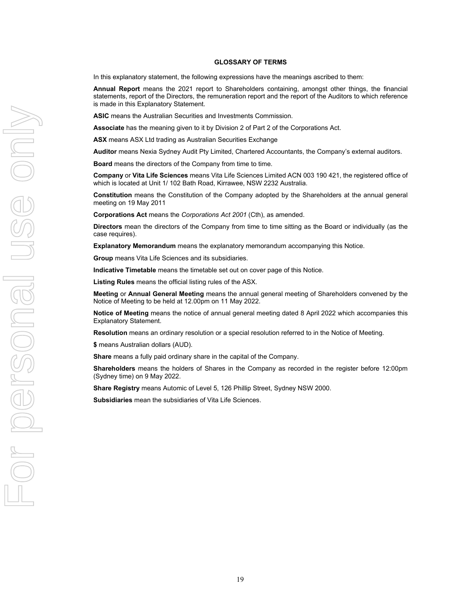#### **GLOSSARY OF TERMS**

In this explanatory statement, the following expressions have the meanings ascribed to them:

**Annual Report** means the 2021 report to Shareholders containing, amongst other things, the financial statements, report of the Directors, the remuneration report and the report of the Auditors to which reference is made in this Explanatory Statement.

**ASIC** means the Australian Securities and Investments Commission.

**Associate** has the meaning given to it by Division 2 of Part 2 of the Corporations Act.

**ASX** means ASX Ltd trading as Australian Securities Exchange

**Auditor** means Nexia Sydney Audit Pty Limited, Chartered Accountants, the Company's external auditors.

**Board** means the directors of the Company from time to time.

**Company** or **Vita Life Sciences** means Vita Life Sciences Limited ACN 003 190 421, the registered office of which is located at Unit 1/ 102 Bath Road, Kirrawee, NSW 2232 Australia.

**Constitution** means the Constitution of the Company adopted by the Shareholders at the annual general meeting on 19 May 2011

**Corporations Act** means the *Corporations Act 2001* (Cth), as amended.

**Directors** mean the directors of the Company from time to time sitting as the Board or individually (as the case requires).

**Explanatory Memorandum** means the explanatory memorandum accompanying this Notice.

**Group** means Vita Life Sciences and its subsidiaries.

**Indicative Timetable** means the timetable set out on cover page of this Notice.

**Listing Rules** means the official listing rules of the ASX.

**Meeting** or **Annual General Meeting** means the annual general meeting of Shareholders convened by the Notice of Meeting to be held at 12.00pm on 11 May 2022.

**Notice of Meeting** means the notice of annual general meeting dated 8 April 2022 which accompanies this Explanatory Statement.

**Resolution** means an ordinary resolution or a special resolution referred to in the Notice of Meeting.

**\$** means Australian dollars (AUD).

**Share** means a fully paid ordinary share in the capital of the Company.

**Shareholders** means the holders of Shares in the Company as recorded in the register before 12:00pm (Sydney time) on 9 May 2022.

**Share Registry** means Automic of Level 5, 126 Phillip Street, Sydney NSW 2000.

**Subsidiaries** mean the subsidiaries of Vita Life Sciences.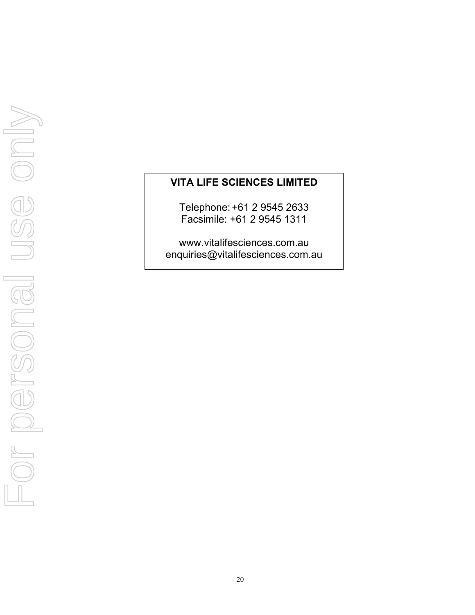# **VITA LIFE SCIENCES LIMITED**

Telephone: +61 2 9545 2633 Facsimile: +61 2 9545 1311

www.vitalifesciences.com.au enquiries@vitalifesciences.com.au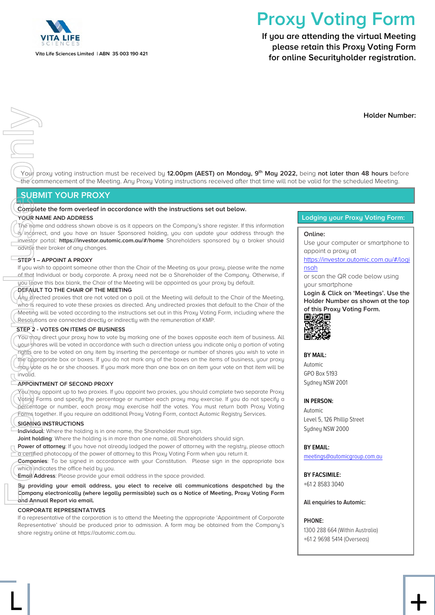

# **Proxy Voting Form**

**If you are attending the virtual Meeting please retain this Proxy Voting Form for online Securityholder registration.**

**Holder Number:**

Your proxy voting instruction must be received by **12.00pm (AEST) on Monday, 9th May 2022,** being **not later than 48 hours** before the commencement of the Meeting. Any Proxy Voting instructions received after that time will not be valid for the scheduled Meeting.

# **SUBMIT YOUR PROXY**

# **Complete the form overleaf in accordance with the instructions set out below.**

#### **YOUR NAME AND ADDRESS**

The name and address shown above is as it appears on the Company's share register. If this information is/incorrect, and you have an Issuer Sponsored holding, you can update your address through the investor portal: **https://investor.automic.com.au/#/home** Shareholders sponsored by a broker should advise their broker of any changes.

#### **STEP 1 – APPOINT A PROXY**

If you wish to appoint someone other than the Chair of the Meeting as your proxy, please write the name of that Individual or body corporate. A proxy need not be a Shareholder of the Company. Otherwise, if you leave this box blank, the Chair of the Meeting will be appointed as your proxy by default.

#### **DEFAULT TO THE CHAIR OF THE MEETING**

Any directed proxies that are not voted on a poll at the Meeting will default to the Chair of the Meeting, who is required to vote these proxies as directed. Any undirected proxies that default to the Chair of the Meeting will be voted according to the instructions set out in this Proxy Voting Form, including where the Resolutions are connected directly or indirectly with the remuneration of KMP.

#### **STEP 2 - VOTES ON ITEMS OF BUSINESS**

You may direct your proxy how to vote by marking one of the boxes opposite each item of business. All your shares will be voted in accordance with such a direction unless you indicate only a portion of voting rights are to be voted on any item by inserting the percentage or number of shares you wish to vote in the appropriate box or boxes. If you do not mark any of the boxes on the items of business, your proxy may vote as he or she chooses. If you mark more than one box on an item your vote on that item will be invalid. Form and Annual Unit of the Company<br>For personal use of the Computer of the Computer of the Manuson of the Manuson of that Incore investor is of that Incore of the Handle over the control of the Company of the Company of t

#### **APPOINTMENT OF SECOND PROXY**

You may appoint up to two proxies. If you appoint two proxies, you should complete two separate Proxy Voting Forms and specify the percentage or number each proxy may exercise. If you do not specify a percentage or number, each proxy may exercise half the votes. You must return both Proxy Voting Forms together. If you require an additional Proxy Voting Form, contact Automic Registry Services.

#### **SIGNING INSTRUCTIONS**

**Individual**: Where the holding is in one name, the Shareholder must sign.

**Joint holding**: Where the holding is in more than one name, all Shareholders should sign.

**Power of attorney**: If you have not already lodged the power of attorney with the registry, please attach a certified photocopy of the power of attorney to this Proxy Voting Form when you return it.

**Companies**: To be signed in accordance with your Constitution. Please sign in the appropriate box which indicates the office held by you.

**Email Address**: Please provide your email address in the space provided.

**By providing your email address, you elect to receive all communications despatched by the Company electronically (where legally permissible) such as a Notice of Meeting, Proxy Voting Form and Annual Report via email.**

#### **CORPORATE REPRESENTATIVES**

If a representative of the corporation is to attend the Meeting the appropriate 'Appointment of Corporate Representative' should be produced prior to admission. A form may be obtained from the Company's share registry online at https://automic.com.au.

 $\mathsf{L}$  +

#### **Lodging your Proxy Voting Form:**

#### **Online:**

Use your computer or smartphone to appoint a proxy at

#### [https://investor.automic.com.au/#/logi](https://investor.automic.com.au/#/loginsah) [nsah](https://investor.automic.com.au/#/loginsah)

or scan the QR code below using your smartphone

**Login & Click on 'Meetings'. Use the Holder Number as shown at the top of this Proxy Voting Form.** 



**BY MAIL:** Automic

GPO Box 5193 Sydney NSW 2001

#### **IN PERSON:**

Automic Level 5, 126 Phillip Street Sydney NSW 2000

#### **BY EMAIL:**

[meetings@automicgroup.com.au](mailto:meetings@automicgroup.com.au)

**BY FACSIMILE:** +61 2 8583 3040

#### **All enquiries to Automic:**

#### **PHONE:**

1300 288 664 (Within Australia) +61 2 9698 5414 (Overseas)